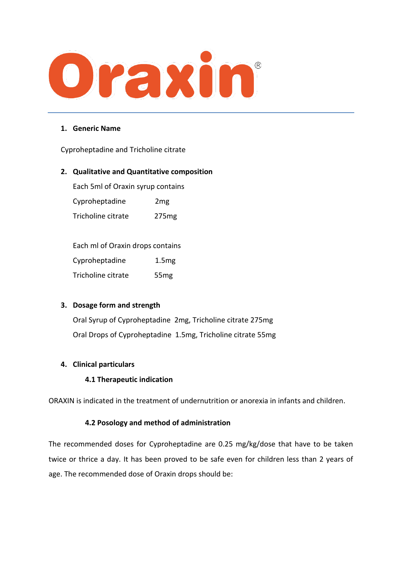

#### **1. Generic Name**

Cyproheptadine and Tricholine citrate

#### **2. Qualitative and Quantitative composition**

Each 5ml of Oraxin syrup contains

Cyproheptadine 2mg Tricholine citrate 275mg

Each ml of Oraxin drops contains Cyproheptadine 1.5mg

Tricholine citrate 55mg

### **3. Dosage form and strength**

Oral Syrup of Cyproheptadine 2mg, Tricholine citrate 275mg Oral Drops of Cyproheptadine 1.5mg, Tricholine citrate 55mg

### **4. Clinical particulars**

### **4.1 Therapeutic indication**

ORAXIN is indicated in the treatment of undernutrition or anorexia in infants and children.

#### **4.2 Posology and method of administration**

The recommended doses for Cyproheptadine are 0.25 mg/kg/dose that have to be taken twice or thrice a day. It has been proved to be safe even for children less than 2 years of age. The recommended dose of Oraxin drops should be: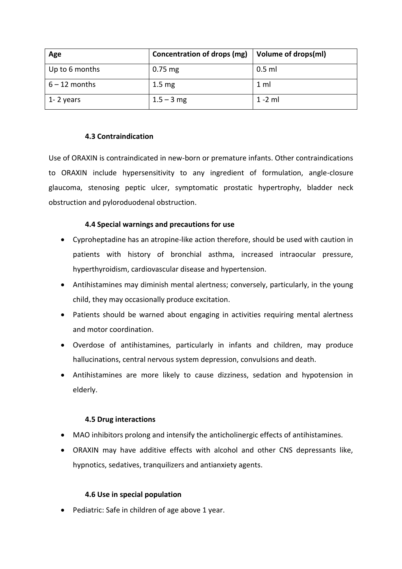| Age             | Concentration of drops (mg) | Volume of drops(ml) |
|-----------------|-----------------------------|---------------------|
| Up to 6 months  | $0.75$ mg                   | 0.5 ml              |
| $6 - 12$ months | 1.5 <sub>mg</sub>           | $1 \text{ ml}$      |
| 1-2 years       | $1.5 - 3$ mg                | $1 - 2$ ml          |

#### **4.3 Contraindication**

Use of ORAXIN is contraindicated in new-born or premature infants. Other contraindications to ORAXIN include hypersensitivity to any ingredient of formulation, angle-closure glaucoma, stenosing peptic ulcer, symptomatic prostatic hypertrophy, bladder neck obstruction and pyloroduodenal obstruction.

### **4.4 Special warnings and precautions for use**

- Cyproheptadine has an atropine-like action therefore, should be used with caution in patients with history of bronchial asthma, increased intraocular pressure, hyperthyroidism, cardiovascular disease and hypertension.
- Antihistamines may diminish mental alertness; conversely, particularly, in the young child, they may occasionally produce excitation.
- Patients should be warned about engaging in activities requiring mental alertness and motor coordination.
- Overdose of antihistamines, particularly in infants and children, may produce hallucinations, central nervous system depression, convulsions and death.
- Antihistamines are more likely to cause dizziness, sedation and hypotension in elderly.

#### **4.5 Drug interactions**

- MAO inhibitors prolong and intensify the anticholinergic effects of antihistamines.
- ORAXIN may have additive effects with alcohol and other CNS depressants like, hypnotics, sedatives, tranquilizers and antianxiety agents.

#### **4.6 Use in special population**

• Pediatric: Safe in children of age above 1 year.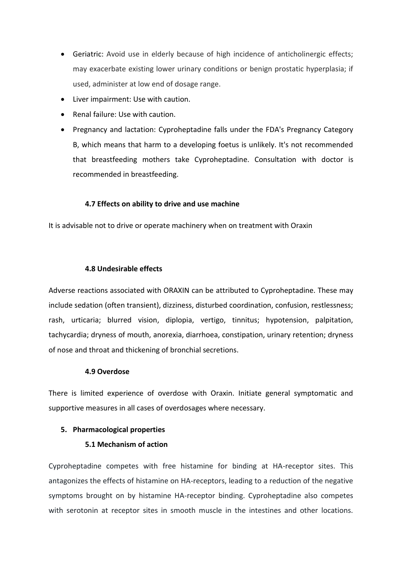- Geriatric: Avoid use in elderly because of high incidence of anticholinergic effects; may exacerbate existing lower urinary conditions or benign prostatic hyperplasia; if used, administer at low end of dosage range.
- Liver impairment: Use with caution.
- Renal failure: Use with caution.
- Pregnancy and lactation: Cyproheptadine falls under the FDA's Pregnancy Category B, which means that harm to a developing foetus is unlikely. It's not recommended that breastfeeding mothers take Cyproheptadine. Consultation with doctor is recommended in breastfeeding.

### **4.7 Effects on ability to drive and use machine**

It is advisable not to drive or operate machinery when on treatment with Oraxin

#### **4.8 Undesirable effects**

Adverse reactions associated with ORAXIN can be attributed to Cyproheptadine. These may include sedation (often transient), dizziness, disturbed coordination, confusion, restlessness; rash, urticaria; blurred vision, diplopia, vertigo, tinnitus; hypotension, palpitation, tachycardia; dryness of mouth, anorexia, diarrhoea, constipation, urinary retention; dryness of nose and throat and thickening of bronchial secretions.

#### **4.9 Overdose**

There is limited experience of overdose with Oraxin. Initiate general symptomatic and supportive measures in all cases of overdosages where necessary.

### **5. Pharmacological properties**

### **5.1 Mechanism of action**

Cyproheptadine competes with free histamine for binding at HA-receptor sites. This antagonizes the effects of histamine on HA-receptors, leading to a reduction of the negative symptoms brought on by histamine HA-receptor binding. Cyproheptadine also competes with serotonin at receptor sites in smooth muscle in the intestines and other locations.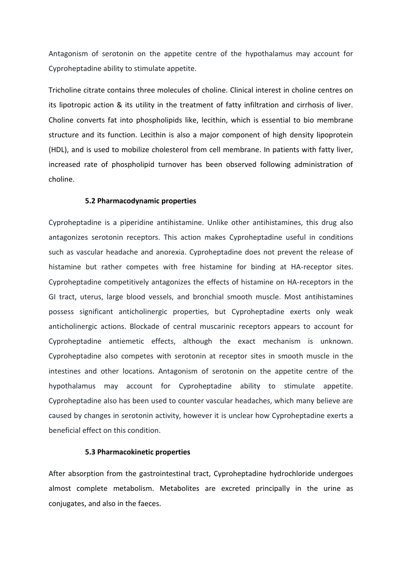Antagonism of serotonin on the appetite centre of the hypothalamus may account for Cyproheptadine ability to stimulate appetite.

Tricholine citrate contains three molecules of choline. Clinical interest in choline centres on its lipotropic action & its utility in the treatment of fatty infiltration and cirrhosis of liver. Choline converts fat into phospholipids like, lecithin, which is essential to bio membrane structure and its function. Lecithin is also a major component of high density lipoprotein (HDL), and is used to mobilize cholesterol from cell membrane. In patients with fatty liver, increased rate of phospholipid turnover has been observed following administration of choline.

#### **5.2 Pharmacodynamic properties**

Cyproheptadine is a piperidine antihistamine. Unlike other antihistamines, this drug also antagonizes serotonin receptors. This action makes Cyproheptadine useful in conditions such as vascular headache and anorexia. Cyproheptadine does not prevent the release of histamine but rather competes with free histamine for binding at HA-receptor sites. Cyproheptadine competitively antagonizes the effects of histamine on HA-receptors in the GI tract, uterus, large blood vessels, and bronchial smooth muscle. Most antihistamines possess significant anticholinergic properties, but Cyproheptadine exerts only weak anticholinergic actions. Blockade of central muscarinic receptors appears to account for Cyproheptadine antiemetic effects, although the exact mechanism is unknown. Cyproheptadine also competes with serotonin at receptor sites in smooth muscle in the intestines and other locations. Antagonism of serotonin on the appetite centre of the hypothalamus may account for Cyproheptadine ability to stimulate appetite. Cyproheptadine also has been used to counter vascular headaches, which many believe are caused by changes in serotonin activity, however it is unclear how Cyproheptadine exerts a beneficial effect on this condition.

#### **5.3 Pharmacokinetic properties**

After absorption from the gastrointestinal tract, Cyproheptadine hydrochloride undergoes almost complete metabolism. Metabolites are excreted principally in the urine as conjugates, and also in the faeces.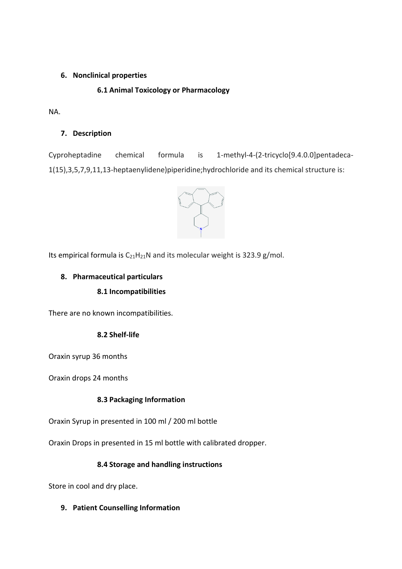### **6. Nonclinical properties**

# **6.1 Animal Toxicology or Pharmacology**

NA.

### **7. Description**

Cyproheptadine chemical formula is 1-methyl-4-(2-tricyclo[9.4.0.0]pentadeca-1(15),3,5,7,9,11,13-heptaenylidene)piperidine;hydrochloride and its chemical structure is:



Its empirical formula is  $C_{21}H_{21}N$  and its molecular weight is 323.9 g/mol.

# **8. Pharmaceutical particulars**

### **8.1 Incompatibilities**

There are no known incompatibilities.

### **8.2 Shelf-life**

Oraxin syrup 36 months

Oraxin drops 24 months

### **8.3 Packaging Information**

Oraxin Syrup in presented in 100 ml / 200 ml bottle

Oraxin Drops in presented in 15 ml bottle with calibrated dropper.

### **8.4 Storage and handling instructions**

Store in cool and dry place.

**9. Patient Counselling Information**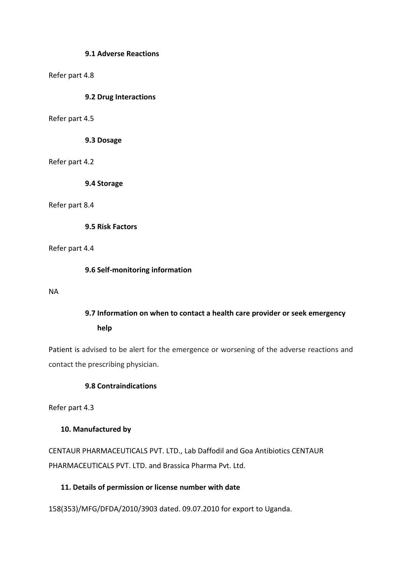#### **9.1 Adverse Reactions**

#### Refer part 4.8

#### **9.2 Drug Interactions**

#### Refer part 4.5

**9.3 Dosage**

Refer part 4.2

**9.4 Storage**

Refer part 8.4

**9.5 Risk Factors**

Refer part 4.4

**9.6 Self-monitoring information**

NA

# **9.7 Information on when to contact a health care provider or seek emergency help**

Patient is advised to be alert for the emergence or worsening of the adverse reactions and contact the prescribing physician.

### **9.8 Contraindications**

Refer part 4.3

#### **10. Manufactured by**

CENTAUR PHARMACEUTICALS PVT. LTD., Lab Daffodil and Goa Antibiotics CENTAUR PHARMACEUTICALS PVT. LTD. and Brassica Pharma Pvt. Ltd.

#### **11. Details of permission or license number with date**

158(353)/MFG/DFDA/2010/3903 dated. 09.07.2010 for export to Uganda.